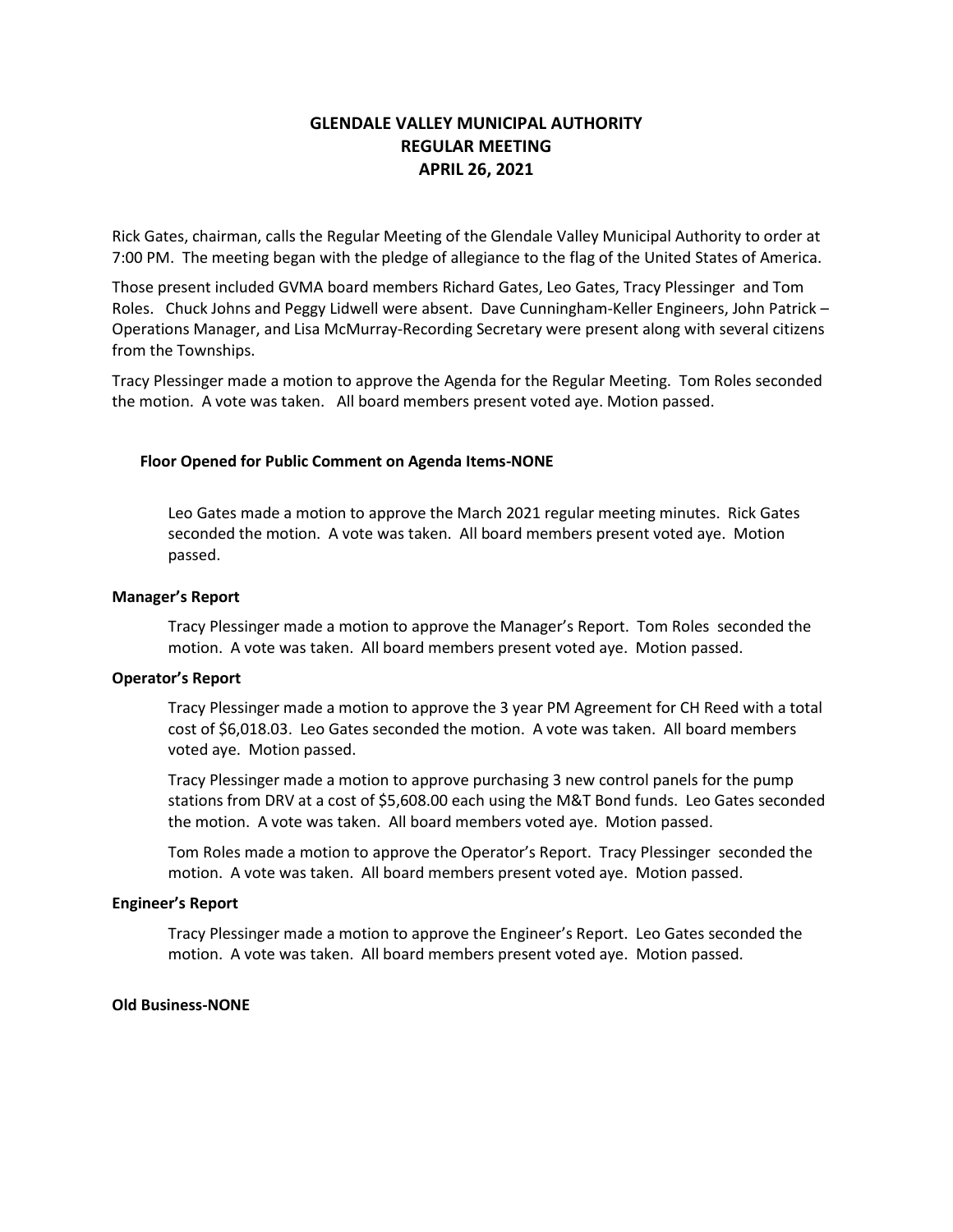# **GLENDALE VALLEY MUNICIPAL AUTHORITY REGULAR MEETING APRIL 26, 2021**

Rick Gates, chairman, calls the Regular Meeting of the Glendale Valley Municipal Authority to order at 7:00 PM. The meeting began with the pledge of allegiance to the flag of the United States of America.

Those present included GVMA board members Richard Gates, Leo Gates, Tracy Plessinger and Tom Roles. Chuck Johns and Peggy Lidwell were absent. Dave Cunningham-Keller Engineers, John Patrick – Operations Manager, and Lisa McMurray-Recording Secretary were present along with several citizens from the Townships.

Tracy Plessinger made a motion to approve the Agenda for the Regular Meeting. Tom Roles seconded the motion. A vote was taken. All board members present voted aye. Motion passed.

## **Floor Opened for Public Comment on Agenda Items-NONE**

Leo Gates made a motion to approve the March 2021 regular meeting minutes. Rick Gates seconded the motion. A vote was taken. All board members present voted aye. Motion passed.

#### **Manager's Report**

Tracy Plessinger made a motion to approve the Manager's Report. Tom Roles seconded the motion. A vote was taken. All board members present voted aye. Motion passed.

## **Operator's Report**

Tracy Plessinger made a motion to approve the 3 year PM Agreement for CH Reed with a total cost of \$6,018.03. Leo Gates seconded the motion. A vote was taken. All board members voted aye. Motion passed.

Tracy Plessinger made a motion to approve purchasing 3 new control panels for the pump stations from DRV at a cost of \$5,608.00 each using the M&T Bond funds. Leo Gates seconded the motion. A vote was taken. All board members voted aye. Motion passed.

Tom Roles made a motion to approve the Operator's Report. Tracy Plessinger seconded the motion. A vote was taken. All board members present voted aye. Motion passed.

## **Engineer's Report**

Tracy Plessinger made a motion to approve the Engineer's Report. Leo Gates seconded the motion. A vote was taken. All board members present voted aye. Motion passed.

## **Old Business-NONE**